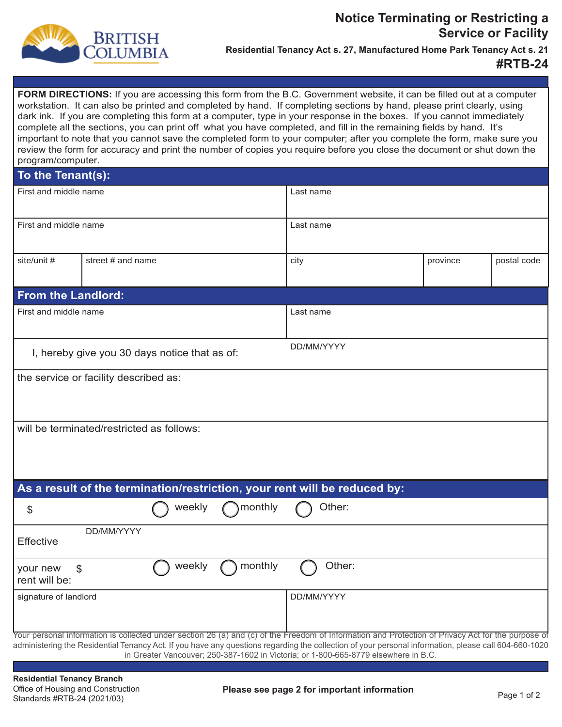

## **Notice Terminating or Restricting a Service or Facility**

**Residential Tenancy Act s. 27, Manufactured Home Park Tenancy Act s. 21** 

## **#RTB-24**

**FORM DIRECTIONS:** If you are accessing this form from the B.C. Government website, it can be filled out at a computer workstation. It can also be printed and completed by hand. If completing sections by hand, please print clearly, using dark ink. If you are completing this form at a computer, type in your response in the boxes. If you cannot immediately complete all the sections, you can print off what you have completed, and fill in the remaining fields by hand. It's important to note that you cannot save the completed form to your computer; after you complete the form, make sure you review the form for accuracy and print the number of copies you require before you close the document or shut down the program/computer.

## **To the Tenant(s):**

| First and middle name                                                                                                                                                                                                                                                                                                                                                                             |                   |        | Last name |            |        |  |          |             |
|---------------------------------------------------------------------------------------------------------------------------------------------------------------------------------------------------------------------------------------------------------------------------------------------------------------------------------------------------------------------------------------------------|-------------------|--------|-----------|------------|--------|--|----------|-------------|
| First and middle name                                                                                                                                                                                                                                                                                                                                                                             |                   |        | Last name |            |        |  |          |             |
| site/unit #                                                                                                                                                                                                                                                                                                                                                                                       | street # and name |        |           | city       |        |  | province | postal code |
| <b>From the Landlord:</b>                                                                                                                                                                                                                                                                                                                                                                         |                   |        |           |            |        |  |          |             |
| First and middle name                                                                                                                                                                                                                                                                                                                                                                             |                   |        |           | Last name  |        |  |          |             |
| DD/MM/YYYY<br>I, hereby give you 30 days notice that as of:                                                                                                                                                                                                                                                                                                                                       |                   |        |           |            |        |  |          |             |
| the service or facility described as:                                                                                                                                                                                                                                                                                                                                                             |                   |        |           |            |        |  |          |             |
| will be terminated/restricted as follows:                                                                                                                                                                                                                                                                                                                                                         |                   |        |           |            |        |  |          |             |
| As a result of the termination/restriction, your rent will be reduced by:                                                                                                                                                                                                                                                                                                                         |                   |        |           |            |        |  |          |             |
| \$                                                                                                                                                                                                                                                                                                                                                                                                |                   | weekly | monthly   |            | Other: |  |          |             |
| DD/MM/YYYY<br>Effective                                                                                                                                                                                                                                                                                                                                                                           |                   |        |           |            |        |  |          |             |
| \$<br>your new<br>rent will be:                                                                                                                                                                                                                                                                                                                                                                   |                   | weekly | monthly   |            | Other: |  |          |             |
| signature of landlord                                                                                                                                                                                                                                                                                                                                                                             |                   |        |           | DD/MM/YYYY |        |  |          |             |
| Your personal information is collected under section 26 (a) and (c) of the Freedom of Information and Protection of Privacy Act for the purpose of<br>administering the Residential Tenancy Act. If you have any questions regarding the collection of your personal information, please call 604-660-1020<br>in Greater Vancouver; 250-387-1602 in Victoria; or 1-800-665-8779 elsewhere in B.C. |                   |        |           |            |        |  |          |             |